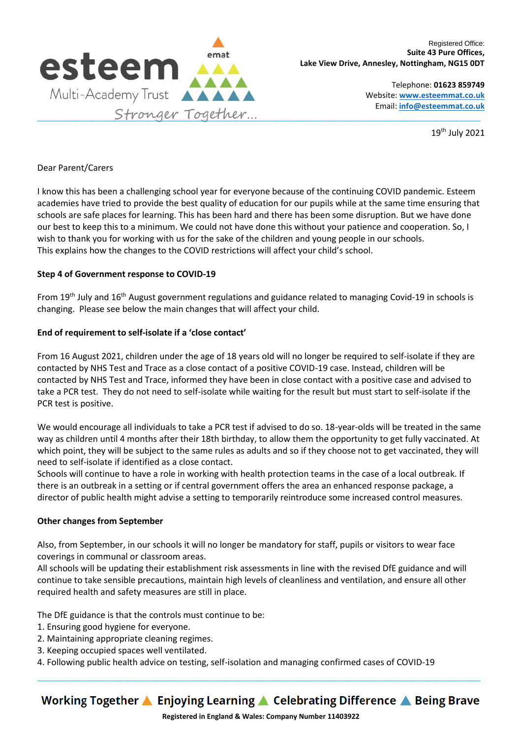

Telephone: **01623 859749** Website: **[www.esteemmat.co.uk](http://www.esteemmat.co.uk/)** Email: **[info@esteemmat.co.uk](mailto:info@esteemmat.co.uk)**

19th July 2021

# Dear Parent/Carers

I know this has been a challenging school year for everyone because of the continuing COVID pandemic. Esteem academies have tried to provide the best quality of education for our pupils while at the same time ensuring that schools are safe places for learning. This has been hard and there has been some disruption. But we have done our best to keep this to a minimum. We could not have done this without your patience and cooperation. So, I wish to thank you for working with us for the sake of the children and young people in our schools. This explains how the changes to the COVID restrictions will affect your child's school.

# **Step 4 of Government response to COVID-19**

From 19<sup>th</sup> July and 16<sup>th</sup> August government regulations and guidance related to managing Covid-19 in schools is changing. Please see below the main changes that will affect your child.

## **End of requirement to self-isolate if a 'close contact'**

From 16 August 2021, children under the age of 18 years old will no longer be required to self-isolate if they are contacted by NHS Test and Trace as a close contact of a positive COVID-19 case. Instead, children will be contacted by NHS Test and Trace, informed they have been in close contact with a positive case and advised to take a PCR test. They do not need to self-isolate while waiting for the result but must start to self-isolate if the PCR test is positive.

We would encourage all individuals to take a PCR test if advised to do so. 18-year-olds will be treated in the same way as children until 4 months after their 18th birthday, to allow them the opportunity to get fully vaccinated. At which point, they will be subject to the same rules as adults and so if they choose not to get vaccinated, they will need to self-isolate if identified as a close contact.

Schools will continue to have a role in working with health protection teams in the case of a local outbreak. If there is an outbreak in a setting or if central government offers the area an enhanced response package, a director of public health might advise a setting to temporarily reintroduce some increased control measures.

## **Other changes from September**

Also, from September, in our schools it will no longer be mandatory for staff, pupils or visitors to wear face coverings in communal or classroom areas.

All schools will be updating their establishment risk assessments in line with the revised DfE guidance and will continue to take sensible precautions, maintain high levels of cleanliness and ventilation, and ensure all other required health and safety measures are still in place.

The DfE guidance is that the controls must continue to be:

- 1. Ensuring good hygiene for everyone.
- 2. Maintaining appropriate cleaning regimes.
- 3. Keeping occupied spaces well ventilated.
- 4. Following public health advice on testing, self-isolation and managing confirmed cases of COVID-19

Working Together ▲ Enjoying Learning ▲ Celebrating Difference ▲ Being Brave

 $\_$  ,  $\_$  ,  $\_$  ,  $\_$  ,  $\_$  ,  $\_$  ,  $\_$  ,  $\_$  ,  $\_$  ,  $\_$  ,  $\_$  ,  $\_$  ,  $\_$  ,  $\_$  ,  $\_$  ,  $\_$  ,  $\_$  ,  $\_$  ,  $\_$  ,  $\_$  ,  $\_$  ,  $\_$  ,  $\_$  ,  $\_$  ,  $\_$  ,  $\_$  ,  $\_$  ,  $\_$  ,  $\_$  ,  $\_$  ,  $\_$  ,  $\_$  ,  $\_$  ,  $\_$  ,  $\_$  ,  $\_$  ,  $\_$  ,